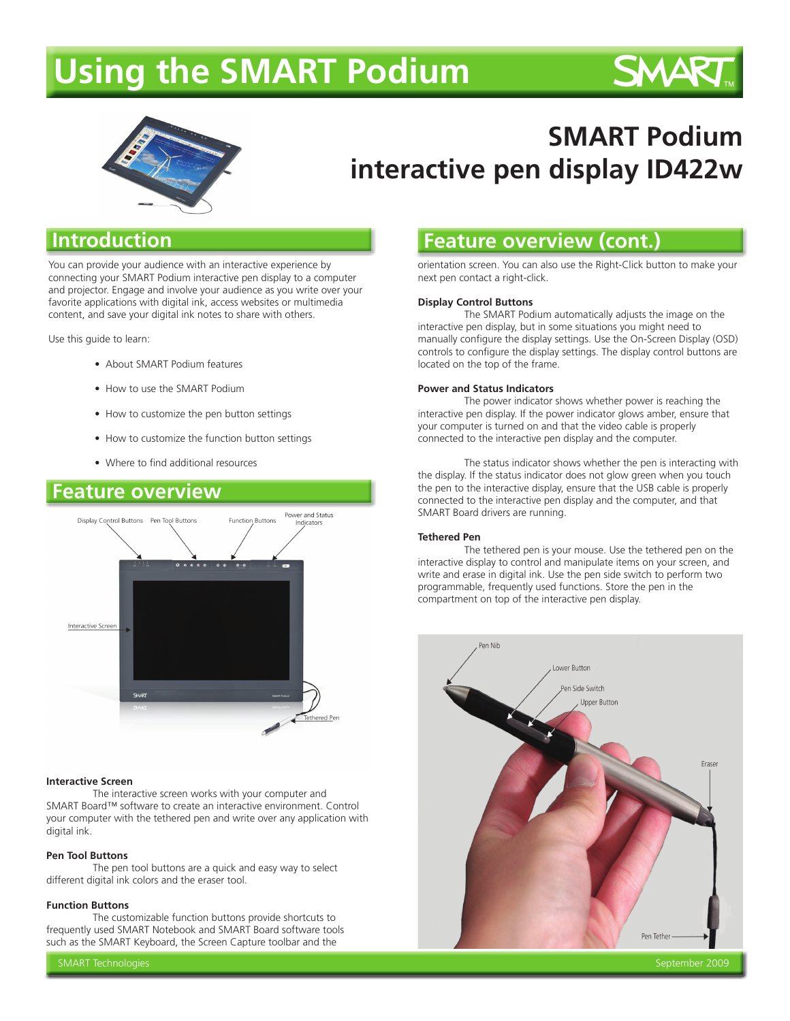# **Using the SMART Podium**





# **SMART Podium interactive pen display ID422w**

## **Introduction**

You can provide your audience with an interactive experience by connecting your SMART Podium interactive pen display to a computer and projector. Engage and involve your audience as you write over your favorite applications with digital ink, access websites or multimedia content, and save your digital ink notes to share with others.

Use this guide to learn:

- About SMART Podium features
- How to use the SMART Podium
- How to customize the pen button settings
- How to customize the function button settings
- Where to find additional resources

### **Feature overview Feature**



#### **Interactive Screen**

 The interactive screen works with your computer and SMART Board™ software to create an interactive environment. Control your computer with the tethered pen and write over any application with digital ink.

#### **Pen Tool Buttons**

 The pen tool buttons are a quick and easy way to select different digital ink colors and the eraser tool.

#### **Function Buttons**

 The customizable function buttons provide shortcuts to frequently used SMART Notebook and SMART Board software tools such as the SMART Keyboard, the Screen Capture toolbar and the

### **Feature overview (cont.)**

orientation screen. You can also use the Right-Click button to make your next pen contact a right-click.

#### **Display Control Buttons**

 The SMART Podium automatically adjusts the image on the interactive pen display, but in some situations you might need to manually configure the display settings. Use the On-Screen Display (OSD) controls to configure the display settings. The display control buttons are located on the top of the frame.

#### **Power and Status Indicators**

 The power indicator shows whether power is reaching the interactive pen display. If the power indicator glows amber, ensure that your computer is turned on and that the video cable is properly connected to the interactive pen display and the computer.

 The status indicator shows whether the pen is interacting with the display. If the status indicator does not glow green when you touch the pen to the interactive display, ensure that the USB cable is properly connected to the interactive pen display and the computer, and that SMART Board drivers are running.

#### **Tethered Pen**

 The tethered pen is your mouse. Use the tethered pen on the interactive display to control and manipulate items on your screen, and write and erase in digital ink. Use the pen side switch to perform two programmable, frequently used functions. Store the pen in the compartment on top of the interactive pen display.